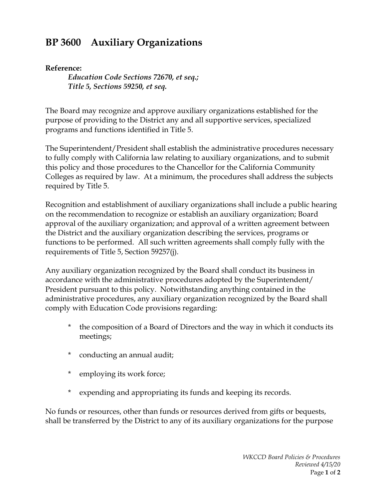## **BP 3600 Auxiliary Organizations**

## **Reference:**

*Education Code Sections 72670, et seq.; Title 5, Sections 59250, et seq.*

The Board may recognize and approve auxiliary organizations established for the purpose of providing to the District any and all supportive services, specialized programs and functions identified in Title 5.

The Superintendent/President shall establish the administrative procedures necessary to fully comply with California law relating to auxiliary organizations, and to submit this policy and those procedures to the Chancellor for the California Community Colleges as required by law. At a minimum, the procedures shall address the subjects required by Title 5.

Recognition and establishment of auxiliary organizations shall include a public hearing on the recommendation to recognize or establish an auxiliary organization; Board approval of the auxiliary organization; and approval of a written agreement between the District and the auxiliary organization describing the services, programs or functions to be performed. All such written agreements shall comply fully with the requirements of Title 5, Section 59257(j).

Any auxiliary organization recognized by the Board shall conduct its business in accordance with the administrative procedures adopted by the Superintendent/ President pursuant to this policy. Notwithstanding anything contained in the administrative procedures, any auxiliary organization recognized by the Board shall comply with Education Code provisions regarding:

- \* the composition of a Board of Directors and the way in which it conducts its meetings;
- \* conducting an annual audit;
- \* employing its work force;
- \* expending and appropriating its funds and keeping its records.

No funds or resources, other than funds or resources derived from gifts or bequests, shall be transferred by the District to any of its auxiliary organizations for the purpose